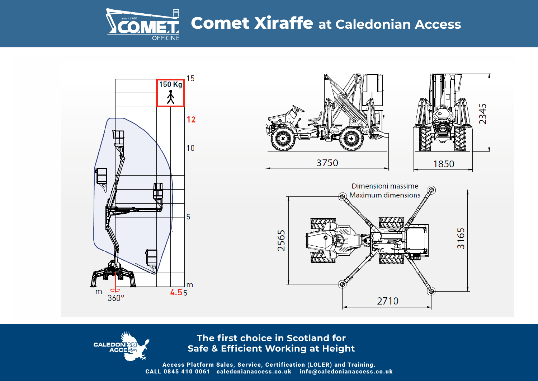



**CALEDONIAN ACCESS** 



**The first choice in Scotland for Safe & Efficient Working at Height**

Access Platform Sales, Service, Certification (LOLER) and Training. CALL 0845 410 0061 caledonianaccess.co.uk info@caledonianaccess.co.uk